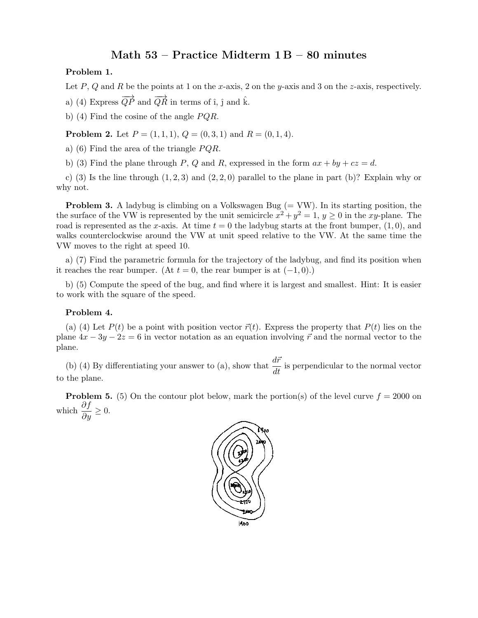## Math  $53$  – Practice Midterm  $1 B - 80$  minutes

## Problem 1.

Let P, Q and R be the points at 1 on the x-axis, 2 on the y-axis and 3 on the z-axis, respectively.

a) (4) Express  $\overrightarrow{QP}$  and  $\overrightarrow{QR}$  in terms of î,  $\hat{\text{j}}$  and  $\hat{\text{k}}$ .

b) (4) Find the cosine of the angle  $PQR$ .

**Problem 2.** Let  $P = (1, 1, 1), Q = (0, 3, 1)$  and  $R = (0, 1, 4)$ .

a) (6) Find the area of the triangle  $PQR$ .

b) (3) Find the plane through P, Q and R, expressed in the form  $ax + by + cz = d$ .

c) (3) Is the line through  $(1, 2, 3)$  and  $(2, 2, 0)$  parallel to the plane in part (b)? Explain why or why not.

**Problem 3.** A ladybug is climbing on a Volkswagen Bug  $(= VW)$ . In its starting position, the the surface of the VW is represented by the unit semicircle  $x^2 + y^2 = 1$ ,  $y \ge 0$  in the xy-plane. The road is represented as the x-axis. At time  $t = 0$  the ladybug starts at the front bumper,  $(1, 0)$ , and walks counterclockwise around the VW at unit speed relative to the VW. At the same time the VW moves to the right at speed 10.

a) (7) Find the parametric formula for the trajectory of the ladybug, and find its position when it reaches the rear bumper. (At  $t = 0$ , the rear bumper is at  $(-1, 0)$ .)

b) (5) Compute the speed of the bug, and find where it is largest and smallest. Hint: It is easier to work with the square of the speed.

## Problem 4.

(a) (4) Let  $P(t)$  be a point with position vector  $\vec{r}(t)$ . Express the property that  $P(t)$  lies on the plane  $4x - 3y - 2z = 6$  in vector notation as an equation involving  $\vec{r}$  and the normal vector to the plane.

(b) (4) By differentiating your answer to (a), show that  $\frac{d\vec{r}}{dt}$  is perpendicular to the normal vector to the plane.

**Problem 5.** (5) On the contour plot below, mark the portion(s) of the level curve  $f = 2000$  on which  $\frac{\partial f}{\partial y} \geq 0$ .